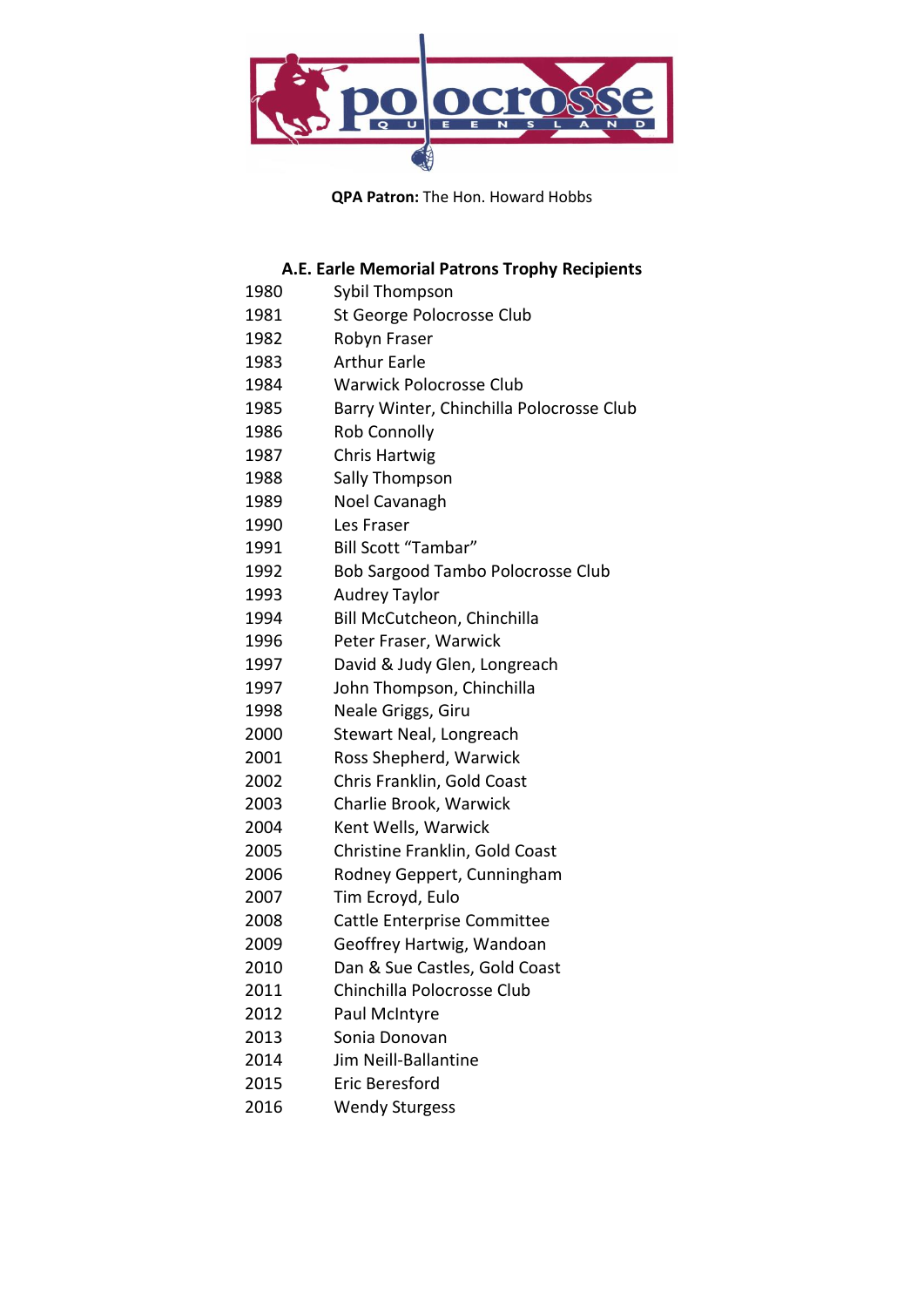

**QPA Patron:** The Hon. Howard Hobbs

## **A.E. Earle Memorial Patrons Trophy Recipients**

| 1980 | Sybil Thompson                           |
|------|------------------------------------------|
| 1981 | St George Polocrosse Club                |
| 1982 | Robyn Fraser                             |
| 1983 | <b>Arthur Earle</b>                      |
| 1984 | <b>Warwick Polocrosse Club</b>           |
| 1985 | Barry Winter, Chinchilla Polocrosse Club |
| 1986 | <b>Rob Connolly</b>                      |
| 1987 | <b>Chris Hartwig</b>                     |
| 1988 | Sally Thompson                           |
| 1989 | Noel Cavanagh                            |
| 1990 | Les Fraser                               |
| 1991 | Bill Scott "Tambar"                      |
| 1992 | Bob Sargood Tambo Polocrosse Club        |
| 1993 | <b>Audrey Taylor</b>                     |
| 1994 | Bill McCutcheon, Chinchilla              |
| 1996 | Peter Fraser, Warwick                    |
| 1997 | David & Judy Glen, Longreach             |
| 1997 | John Thompson, Chinchilla                |
| 1998 | Neale Griggs, Giru                       |
| 2000 | Stewart Neal, Longreach                  |
| 2001 | Ross Shepherd, Warwick                   |
| 2002 | Chris Franklin, Gold Coast               |
| 2003 | Charlie Brook, Warwick                   |
| 2004 | Kent Wells, Warwick                      |
| 2005 | Christine Franklin, Gold Coast           |
| 2006 | Rodney Geppert, Cunningham               |
| 2007 | Tim Ecroyd, Eulo                         |
| 2008 | Cattle Enterprise Committee              |
| 2009 | Geoffrey Hartwig, Wandoan                |
| 2010 | Dan & Sue Castles, Gold Coast            |
| 2011 | Chinchilla Polocrosse Club               |
| 2012 | Paul McIntyre                            |
| 2013 | Sonia Donovan                            |
| 2014 | Jim Neill-Ballantine                     |
| 2015 | Eric Beresford                           |
| 2016 | <b>Wendy Sturgess</b>                    |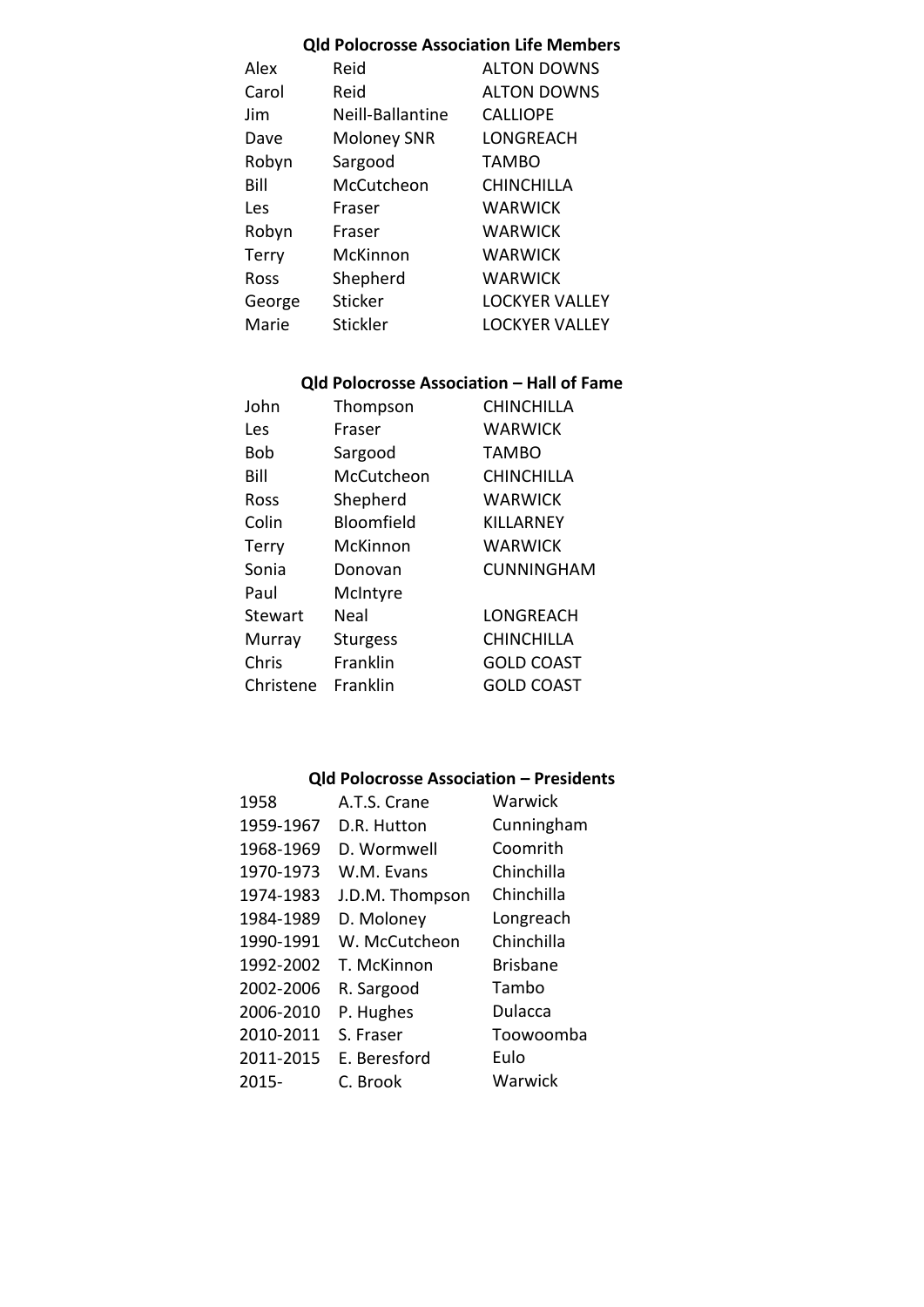#### **Qld Polocrosse Association Life Members**

| Reid               | <b>ALTON DOWNS</b>    |
|--------------------|-----------------------|
| Reid               | <b>ALTON DOWNS</b>    |
| Neill-Ballantine   | <b>CALLIOPE</b>       |
| <b>Moloney SNR</b> | LONGREACH             |
| Sargood            | <b>TAMBO</b>          |
| McCutcheon         | <b>CHINCHILLA</b>     |
| Fraser             | WARWICK               |
| Fraser             | <b>WARWICK</b>        |
| McKinnon           | WARWICK               |
| Shepherd           | WARWICK               |
| <b>Sticker</b>     | <b>LOCKYER VALLEY</b> |
| Stickler           | LOCKYER VALLEY        |
|                    |                       |

### **Qld Polocrosse Association – Hall of Fame**

| John         | Thompson        | <b>CHINCHILLA</b> |
|--------------|-----------------|-------------------|
| Les          | Fraser          | <b>WARWICK</b>    |
| <b>Bob</b>   | Sargood         | TAMBO             |
| Bill         | McCutcheon      | <b>CHINCHILLA</b> |
| Ross         | Shepherd        | <b>WARWICK</b>    |
| Colin        | Bloomfield      | KILLARNEY         |
| <b>Terry</b> | McKinnon        | <b>WARWICK</b>    |
| Sonia        | Donovan         | <b>CUNNINGHAM</b> |
| Paul         | McIntyre        |                   |
| Stewart      | Neal            | LONGREACH         |
| Murray       | <b>Sturgess</b> | <b>CHINCHILLA</b> |
| Chris        | Franklin        | <b>GOLD COAST</b> |
| Christene    | Franklin        | GOLD COAST        |

#### **Qld Polocrosse Association – Presidents**

| 1958      | A.T.S. Crane    | Warwick         |
|-----------|-----------------|-----------------|
| 1959-1967 | D.R. Hutton     | Cunningham      |
| 1968-1969 | D. Wormwell     | Coomrith        |
| 1970-1973 | W.M. Evans      | Chinchilla      |
| 1974-1983 | J.D.M. Thompson | Chinchilla      |
| 1984-1989 | D. Moloney      | Longreach       |
| 1990-1991 | W. McCutcheon   | Chinchilla      |
| 1992-2002 | T. McKinnon     | <b>Brisbane</b> |
| 2002-2006 | R. Sargood      | Tambo           |
| 2006-2010 | P. Hughes       | Dulacca         |
| 2010-2011 | S. Fraser       | Toowoomba       |
| 2011-2015 | E. Beresford    | Eulo            |
| $2015 -$  | C. Brook        | Warwick         |